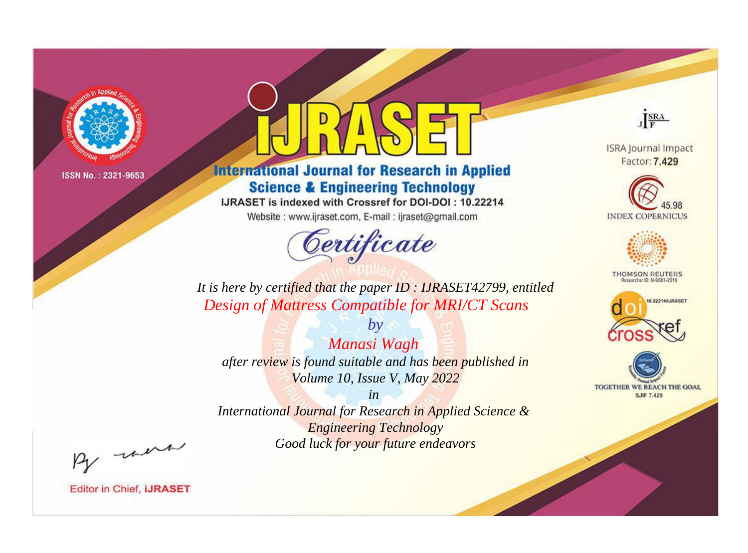

# **International Journal for Research in Applied Science & Engineering Technology**

IJRASET is indexed with Crossref for DOI-DOI: 10.22214

Website: www.ijraset.com, E-mail: ijraset@gmail.com



JERA

**ISRA Journal Impact** Factor: 7.429





**THOMSON REUTERS** 



TOGETHER WE REACH THE GOAL **SJIF 7.429** 

*It is here by certified that the paper ID : IJRASET42799, entitled Design of Mattress Compatible for MRI/CT Scans*

*Manasi Wagh after review is found suitable and has been published in Volume 10, Issue V, May 2022*

*by*

*in* 

*International Journal for Research in Applied Science & Engineering Technology Good luck for your future endeavors*

By morn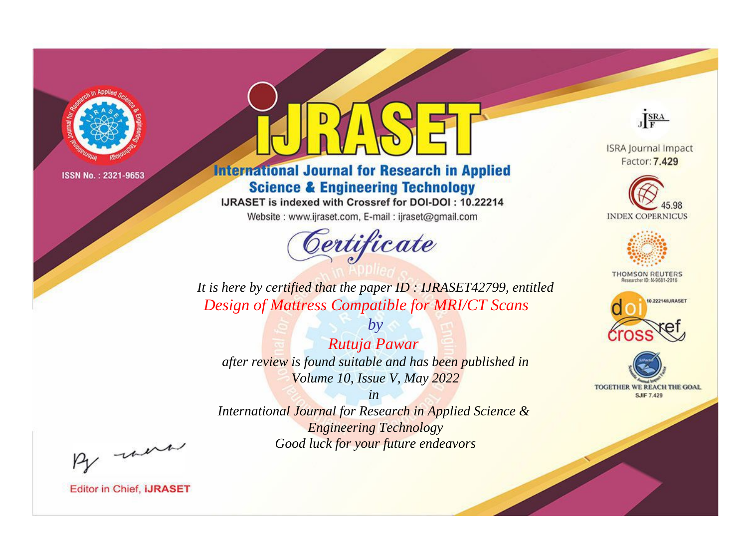

# **International Journal for Research in Applied Science & Engineering Technology**

IJRASET is indexed with Crossref for DOI-DOI: 10.22214

Website: www.ijraset.com, E-mail: ijraset@gmail.com



JERA

**ISRA Journal Impact** Factor: 7.429





**THOMSON REUTERS** 



TOGETHER WE REACH THE GOAL **SJIF 7.429** 

*It is here by certified that the paper ID : IJRASET42799, entitled Design of Mattress Compatible for MRI/CT Scans*

*Rutuja Pawar after review is found suitable and has been published in Volume 10, Issue V, May 2022*

*by*

*in* 

*International Journal for Research in Applied Science & Engineering Technology Good luck for your future endeavors*

By morn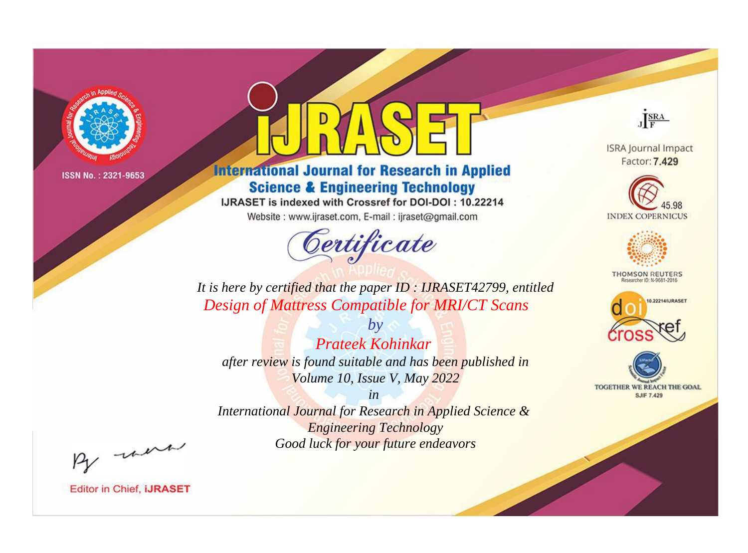

# **International Journal for Research in Applied Science & Engineering Technology**

IJRASET is indexed with Crossref for DOI-DOI: 10.22214

Website: www.ijraset.com, E-mail: ijraset@gmail.com



JERA

**ISRA Journal Impact** Factor: 7.429





**THOMSON REUTERS** 



TOGETHER WE REACH THE GOAL **SJIF 7.429** 

It is here by certified that the paper ID: IJRASET42799, entitled **Design of Mattress Compatible for MRI/CT Scans** 

 $b\nu$ **Prateek Kohinkar** after review is found suitable and has been published in Volume 10, Issue V, May 2022

 $in$ International Journal for Research in Applied Science & **Engineering Technology** Good luck for your future endeavors

By morn